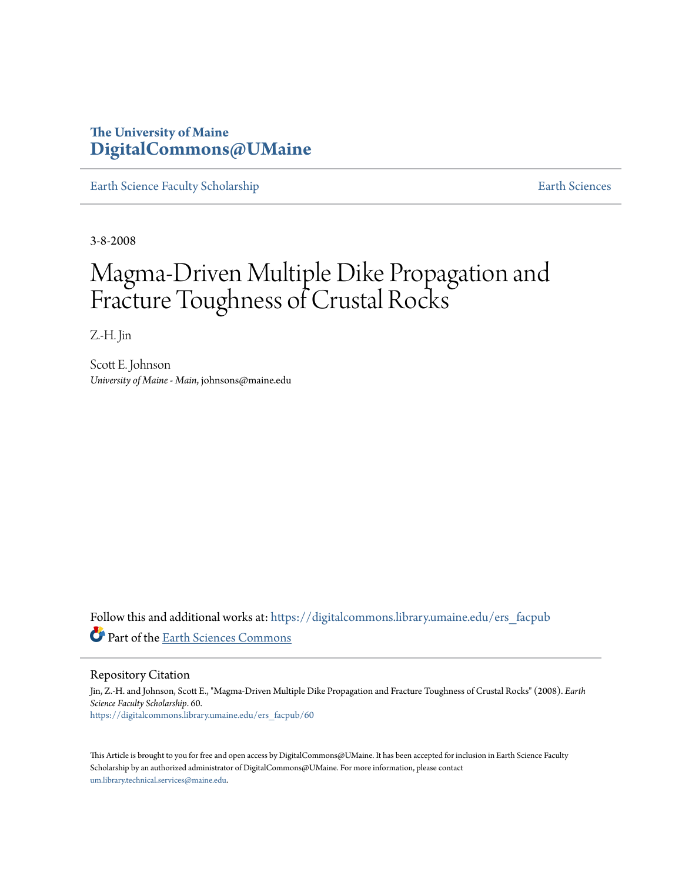### **The University of Maine [DigitalCommons@UMaine](https://digitalcommons.library.umaine.edu?utm_source=digitalcommons.library.umaine.edu%2Fers_facpub%2F60&utm_medium=PDF&utm_campaign=PDFCoverPages)**

[Earth Science Faculty Scholarship](https://digitalcommons.library.umaine.edu/ers_facpub?utm_source=digitalcommons.library.umaine.edu%2Fers_facpub%2F60&utm_medium=PDF&utm_campaign=PDFCoverPages) **[Earth Sciences](https://digitalcommons.library.umaine.edu/ers?utm_source=digitalcommons.library.umaine.edu%2Fers_facpub%2F60&utm_medium=PDF&utm_campaign=PDFCoverPages)** 

3-8-2008

# Magma-Driven Multiple Dike Propagation and Fracture Toughness of Crustal Rocks

Z.-H. Jin

Scott E. Johnson *University of Maine - Main*, johnsons@maine.edu

Follow this and additional works at: [https://digitalcommons.library.umaine.edu/ers\\_facpub](https://digitalcommons.library.umaine.edu/ers_facpub?utm_source=digitalcommons.library.umaine.edu%2Fers_facpub%2F60&utm_medium=PDF&utm_campaign=PDFCoverPages) Part of the [Earth Sciences Commons](http://network.bepress.com/hgg/discipline/153?utm_source=digitalcommons.library.umaine.edu%2Fers_facpub%2F60&utm_medium=PDF&utm_campaign=PDFCoverPages)

Repository Citation

Jin, Z.-H. and Johnson, Scott E., "Magma-Driven Multiple Dike Propagation and Fracture Toughness of Crustal Rocks" (2008). *Earth Science Faculty Scholarship*. 60. [https://digitalcommons.library.umaine.edu/ers\\_facpub/60](https://digitalcommons.library.umaine.edu/ers_facpub/60?utm_source=digitalcommons.library.umaine.edu%2Fers_facpub%2F60&utm_medium=PDF&utm_campaign=PDFCoverPages)

This Article is brought to you for free and open access by DigitalCommons@UMaine. It has been accepted for inclusion in Earth Science Faculty Scholarship by an authorized administrator of DigitalCommons@UMaine. For more information, please contact [um.library.technical.services@maine.edu](mailto:um.library.technical.services@maine.edu).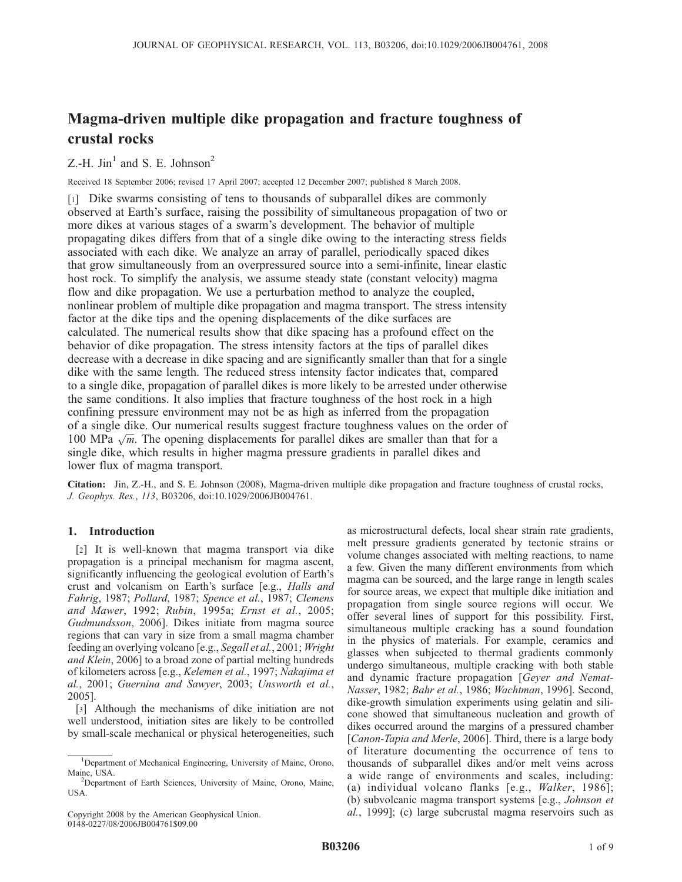## Magma-driven multiple dike propagation and fracture toughness of crustal rocks

 $Z.-H.$  Jin<sup>1</sup> and S. E. Johnson<sup>2</sup>

Received 18 September 2006; revised 17 April 2007; accepted 12 December 2007; published 8 March 2008.

[1] Dike swarms consisting of tens to thousands of subparallel dikes are commonly observed at Earth's surface, raising the possibility of simultaneous propagation of two or more dikes at various stages of a swarm's development. The behavior of multiple propagating dikes differs from that of a single dike owing to the interacting stress fields associated with each dike. We analyze an array of parallel, periodically spaced dikes that grow simultaneously from an overpressured source into a semi-infinite, linear elastic host rock. To simplify the analysis, we assume steady state (constant velocity) magma flow and dike propagation. We use a perturbation method to analyze the coupled, nonlinear problem of multiple dike propagation and magma transport. The stress intensity factor at the dike tips and the opening displacements of the dike surfaces are calculated. The numerical results show that dike spacing has a profound effect on the behavior of dike propagation. The stress intensity factors at the tips of parallel dikes decrease with a decrease in dike spacing and are significantly smaller than that for a single dike with the same length. The reduced stress intensity factor indicates that, compared to a single dike, propagation of parallel dikes is more likely to be arrested under otherwise the same conditions. It also implies that fracture toughness of the host rock in a high confining pressure environment may not be as high as inferred from the propagation of a single dike. Our numerical results suggest fracture toughness values on the order of 100 MPa  $\sqrt{m}$ . The opening displacements for parallel dikes are smaller than that for a single dike, which results in higher magma pressure gradients in parallel dikes and lower flux of magma transport.

Citation: Jin, Z.-H., and S. E. Johnson (2008), Magma-driven multiple dike propagation and fracture toughness of crustal rocks, J. Geophys. Res., 113, B03206, doi:10.1029/2006JB004761.

#### 1. Introduction

[2] It is well-known that magma transport via dike propagation is a principal mechanism for magma ascent, significantly influencing the geological evolution of Earth's crust and volcanism on Earth's surface [e.g., Halls and Fahrig, 1987; Pollard, 1987; Spence et al., 1987; Clemens and Mawer, 1992; Rubin, 1995a; Ernst et al., 2005; Gudmundsson, 2006]. Dikes initiate from magma source regions that can vary in size from a small magma chamber feeding an overlying volcano [e.g., Segall et al., 2001; Wright and Klein, 2006] to a broad zone of partial melting hundreds of kilometers across [e.g., Kelemen et al., 1997; Nakajima et al., 2001; Guernina and Sawyer, 2003; Unsworth et al., 2005].

[3] Although the mechanisms of dike initiation are not well understood, initiation sites are likely to be controlled by small-scale mechanical or physical heterogeneities, such

Copyright 2008 by the American Geophysical Union. 0148-0227/08/2006JB004761\$09.00

as microstructural defects, local shear strain rate gradients, melt pressure gradients generated by tectonic strains or volume changes associated with melting reactions, to name a few. Given the many different environments from which magma can be sourced, and the large range in length scales for source areas, we expect that multiple dike initiation and propagation from single source regions will occur. We offer several lines of support for this possibility. First, simultaneous multiple cracking has a sound foundation in the physics of materials. For example, ceramics and glasses when subjected to thermal gradients commonly undergo simultaneous, multiple cracking with both stable and dynamic fracture propagation [Geyer and Nemat-Nasser, 1982; Bahr et al., 1986; Wachtman, 1996]. Second, dike-growth simulation experiments using gelatin and silicone showed that simultaneous nucleation and growth of dikes occurred around the margins of a pressured chamber [Canon-Tapia and Merle, 2006]. Third, there is a large body of literature documenting the occurrence of tens to thousands of subparallel dikes and/or melt veins across a wide range of environments and scales, including: (a) individual volcano flanks [e.g., Walker, 1986]; (b) subvolcanic magma transport systems [e.g., Johnson et al., 1999]; (c) large subcrustal magma reservoirs such as

<sup>&</sup>lt;sup>1</sup>Department of Mechanical Engineering, University of Maine, Orono, Maine, USA. <sup>2</sup>

<sup>&</sup>lt;sup>2</sup>Department of Earth Sciences, University of Maine, Orono, Maine, USA.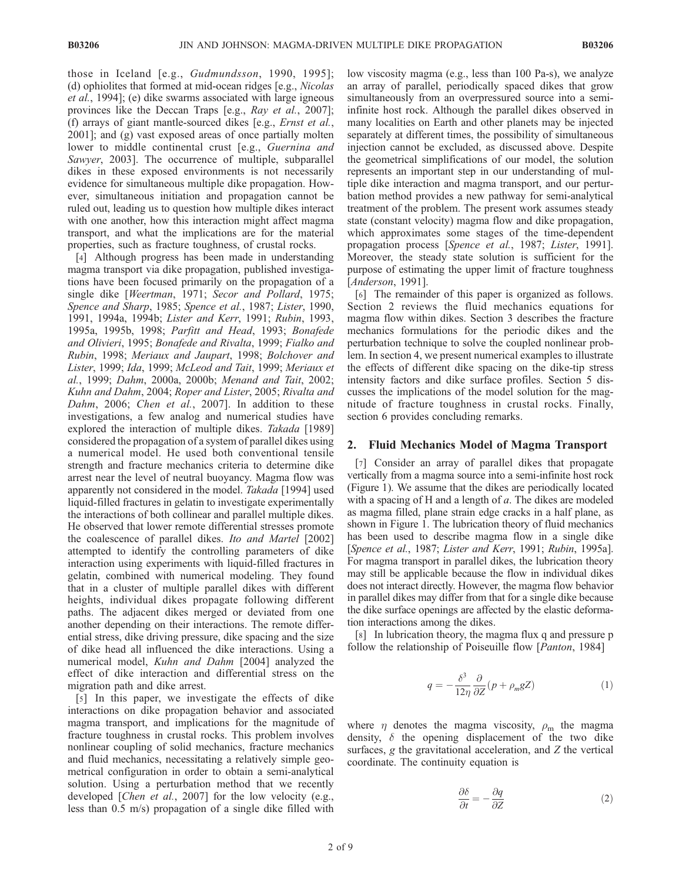those in Iceland [e.g., Gudmundsson, 1990, 1995]; (d) ophiolites that formed at mid-ocean ridges [e.g., Nicolas et al., 1994]; (e) dike swarms associated with large igneous provinces like the Deccan Traps [e.g., Ray et al., 2007]; (f) arrays of giant mantle-sourced dikes [e.g., Ernst et al., 2001]; and (g) vast exposed areas of once partially molten lower to middle continental crust [e.g., Guernina and Sawyer, 2003]. The occurrence of multiple, subparallel dikes in these exposed environments is not necessarily evidence for simultaneous multiple dike propagation. However, simultaneous initiation and propagation cannot be ruled out, leading us to question how multiple dikes interact with one another, how this interaction might affect magma transport, and what the implications are for the material properties, such as fracture toughness, of crustal rocks.

[4] Although progress has been made in understanding magma transport via dike propagation, published investigations have been focused primarily on the propagation of a single dike [Weertman, 1971; Secor and Pollard, 1975; Spence and Sharp, 1985; Spence et al., 1987; Lister, 1990, 1991, 1994a, 1994b; Lister and Kerr, 1991; Rubin, 1993, 1995a, 1995b, 1998; Parfitt and Head, 1993; Bonafede and Olivieri, 1995; Bonafede and Rivalta, 1999; Fialko and Rubin, 1998; Meriaux and Jaupart, 1998; Bolchover and Lister, 1999; Ida, 1999; McLeod and Tait, 1999; Meriaux et al., 1999; Dahm, 2000a, 2000b; Menand and Tait, 2002; Kuhn and Dahm, 2004; Roper and Lister, 2005; Rivalta and Dahm, 2006; Chen et al., 2007]. In addition to these investigations, a few analog and numerical studies have explored the interaction of multiple dikes. Takada [1989] considered the propagation of a system of parallel dikes using a numerical model. He used both conventional tensile strength and fracture mechanics criteria to determine dike arrest near the level of neutral buoyancy. Magma flow was apparently not considered in the model. Takada [1994] used liquid-filled fractures in gelatin to investigate experimentally the interactions of both collinear and parallel multiple dikes. He observed that lower remote differential stresses promote the coalescence of parallel dikes. Ito and Martel [2002] attempted to identify the controlling parameters of dike interaction using experiments with liquid-filled fractures in gelatin, combined with numerical modeling. They found that in a cluster of multiple parallel dikes with different heights, individual dikes propagate following different paths. The adjacent dikes merged or deviated from one another depending on their interactions. The remote differential stress, dike driving pressure, dike spacing and the size of dike head all influenced the dike interactions. Using a numerical model, Kuhn and Dahm [2004] analyzed the effect of dike interaction and differential stress on the migration path and dike arrest.

[5] In this paper, we investigate the effects of dike interactions on dike propagation behavior and associated magma transport, and implications for the magnitude of fracture toughness in crustal rocks. This problem involves nonlinear coupling of solid mechanics, fracture mechanics and fluid mechanics, necessitating a relatively simple geometrical configuration in order to obtain a semi-analytical solution. Using a perturbation method that we recently developed [*Chen et al.*, 2007] for the low velocity (e.g., less than 0.5 m/s) propagation of a single dike filled with

low viscosity magma (e.g., less than 100 Pa-s), we analyze an array of parallel, periodically spaced dikes that grow simultaneously from an overpressured source into a semiinfinite host rock. Although the parallel dikes observed in many localities on Earth and other planets may be injected separately at different times, the possibility of simultaneous injection cannot be excluded, as discussed above. Despite the geometrical simplifications of our model, the solution represents an important step in our understanding of multiple dike interaction and magma transport, and our perturbation method provides a new pathway for semi-analytical treatment of the problem. The present work assumes steady state (constant velocity) magma flow and dike propagation, which approximates some stages of the time-dependent propagation process [Spence et al., 1987; Lister, 1991]. Moreover, the steady state solution is sufficient for the purpose of estimating the upper limit of fracture toughness [*Anderson*, 1991].

[6] The remainder of this paper is organized as follows. Section 2 reviews the fluid mechanics equations for magma flow within dikes. Section 3 describes the fracture mechanics formulations for the periodic dikes and the perturbation technique to solve the coupled nonlinear problem. In section 4, we present numerical examples to illustrate the effects of different dike spacing on the dike-tip stress intensity factors and dike surface profiles. Section 5 discusses the implications of the model solution for the magnitude of fracture toughness in crustal rocks. Finally, section 6 provides concluding remarks.

#### 2. Fluid Mechanics Model of Magma Transport

[7] Consider an array of parallel dikes that propagate vertically from a magma source into a semi-infinite host rock (Figure 1). We assume that the dikes are periodically located with a spacing of H and a length of  $a$ . The dikes are modeled as magma filled, plane strain edge cracks in a half plane, as shown in Figure 1. The lubrication theory of fluid mechanics has been used to describe magma flow in a single dike [Spence et al., 1987; Lister and Kerr, 1991; Rubin, 1995a]. For magma transport in parallel dikes, the lubrication theory may still be applicable because the flow in individual dikes does not interact directly. However, the magma flow behavior in parallel dikes may differ from that for a single dike because the dike surface openings are affected by the elastic deformation interactions among the dikes.

[8] In lubrication theory, the magma flux q and pressure p follow the relationship of Poiseuille flow [*Panton*, 1984]

$$
q = -\frac{\delta^3}{12\eta} \frac{\partial}{\partial Z} (p + \rho_m gZ)
$$
 (1)

where  $\eta$  denotes the magma viscosity,  $\rho_{\rm m}$  the magma density,  $\delta$  the opening displacement of the two dike surfaces, g the gravitational acceleration, and Z the vertical coordinate. The continuity equation is

$$
\frac{\partial \delta}{\partial t} = -\frac{\partial q}{\partial Z} \tag{2}
$$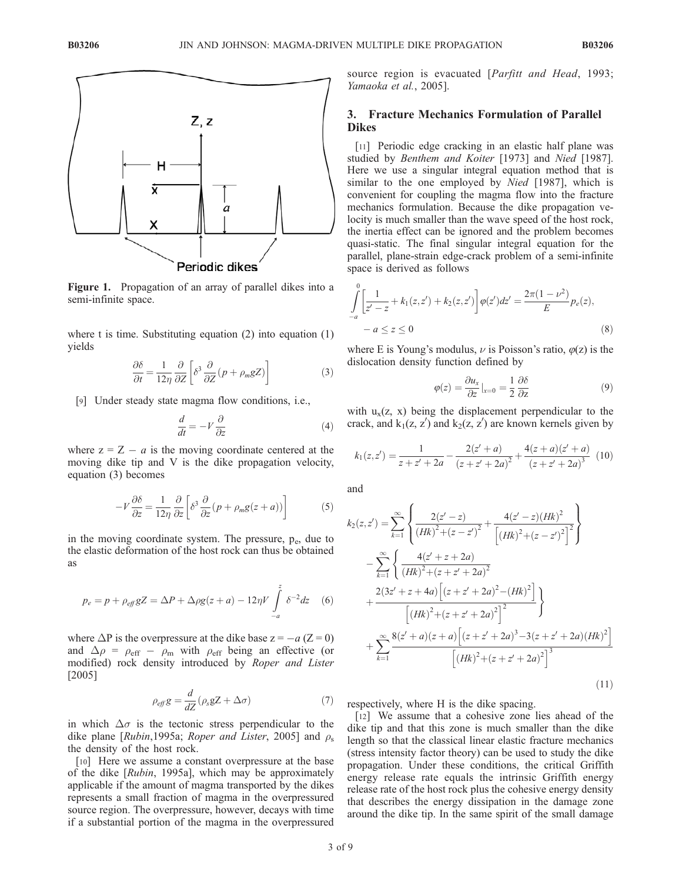

Figure 1. Propagation of an array of parallel dikes into a semi-infinite space.

where t is time. Substituting equation (2) into equation (1) yields

$$
\frac{\partial \delta}{\partial t} = \frac{1}{12\eta} \frac{\partial}{\partial Z} \left[ \delta^3 \frac{\partial}{\partial Z} (p + \rho_m g Z) \right]
$$
(3)

[9] Under steady state magma flow conditions, i.e.,

$$
\frac{d}{dt} = -V\frac{\partial}{\partial z} \tag{4}
$$

where  $z = Z - a$  is the moving coordinate centered at the moving dike tip and V is the dike propagation velocity, equation (3) becomes

$$
-V\frac{\partial\delta}{\partial z} = \frac{1}{12\eta}\frac{\partial}{\partial z}\left[\delta^3\frac{\partial}{\partial z}(p+\rho_m g(z+a))\right]
$$
 (5)

in the moving coordinate system. The pressure,  $p_e$ , due to the elastic deformation of the host rock can thus be obtained as

$$
p_e = p + \rho_{eff} gZ = \Delta P + \Delta \rho g (z + a) - 12\eta V \int_{-a}^{z} \delta^{-2} dz
$$
 (6)

where  $\Delta P$  is the overpressure at the dike base  $z = -a (Z = 0)$ and  $\Delta \rho = \rho_{\text{eff}} - \rho_{\text{m}}$  with  $\rho_{\text{eff}}$  being an effective (or modified) rock density introduced by Roper and Lister [2005]

$$
\rho_{\text{eff}}g = \frac{d}{dZ}(\rho_s g Z + \Delta \sigma) \tag{7}
$$

in which  $\Delta \sigma$  is the tectonic stress perpendicular to the dike plane [Rubin,1995a; Roper and Lister, 2005] and  $\rho_s$ the density of the host rock.

[10] Here we assume a constant overpressure at the base of the dike [Rubin, 1995a], which may be approximately applicable if the amount of magma transported by the dikes represents a small fraction of magma in the overpressured source region. The overpressure, however, decays with time if a substantial portion of the magma in the overpressured

source region is evacuated [Parfitt and Head, 1993; Yamaoka et al., 2005].

#### 3. Fracture Mechanics Formulation of Parallel Dikes

[11] Periodic edge cracking in an elastic half plane was studied by Benthem and Koiter [1973] and Nied [1987]. Here we use a singular integral equation method that is similar to the one employed by Nied [1987], which is convenient for coupling the magma flow into the fracture mechanics formulation. Because the dike propagation velocity is much smaller than the wave speed of the host rock, the inertia effect can be ignored and the problem becomes quasi-static. The final singular integral equation for the parallel, plane-strain edge-crack problem of a semi-infinite space is derived as follows

$$
\int_{-a}^{0} \left[ \frac{1}{z'-z} + k_1(z, z') + k_2(z, z') \right] \varphi(z') dz' = \frac{2\pi (1 - \nu^2)}{E} p_e(z),
$$
  
-  $a \le z \le 0$  (8)

where E is Young's modulus,  $\nu$  is Poisson's ratio,  $\varphi(z)$  is the dislocation density function defined by

$$
\varphi(z) = \frac{\partial u_x}{\partial z}\big|_{x=0} = \frac{1}{2} \frac{\partial \delta}{\partial z} \tag{9}
$$

with  $u_x(z, x)$  being the displacement perpendicular to the crack, and  $k_1(z, z')$  and  $k_2(z, z')$  are known kernels given by

$$
k_1(z, z') = \frac{1}{z + z' + 2a} - \frac{2(z' + a)}{(z + z' + 2a)^2} + \frac{4(z + a)(z' + a)}{(z + z' + 2a)^3} \tag{10}
$$

and

$$
k_{2}(z, z') = \sum_{k=1}^{\infty} \left\{ \frac{2(z'-z)}{(Hk)^{2} + (z-z')^{2}} + \frac{4(z'-z)(Hk)^{2}}{\left[(Hk)^{2} + (z-z')^{2}\right]^{2}} \right\}
$$
  

$$
- \sum_{k=1}^{\infty} \left\{ \frac{4(z'+z+2a)}{(Hk)^{2} + (z+z'+2a)^{2}} + \frac{2(3z'+z+4a)\left[(z+z'+2a)^{2} - (Hk)^{2}\right]}{\left[(Hk)^{2} + (z+z'+2a)^{2}\right]^{2}} \right\}
$$
  

$$
+ \sum_{k=1}^{\infty} \frac{8(z'+a)(z+a)\left[(z+z'+2a)^{3} - 3(z+z'+2a)(Hk)^{2}\right]}{\left[(Hk)^{2} + (z+z'+2a)^{2}\right]^{3}}
$$
(11)

respectively, where H is the dike spacing.

[12] We assume that a cohesive zone lies ahead of the dike tip and that this zone is much smaller than the dike length so that the classical linear elastic fracture mechanics (stress intensity factor theory) can be used to study the dike propagation. Under these conditions, the critical Griffith energy release rate equals the intrinsic Griffith energy release rate of the host rock plus the cohesive energy density that describes the energy dissipation in the damage zone around the dike tip. In the same spirit of the small damage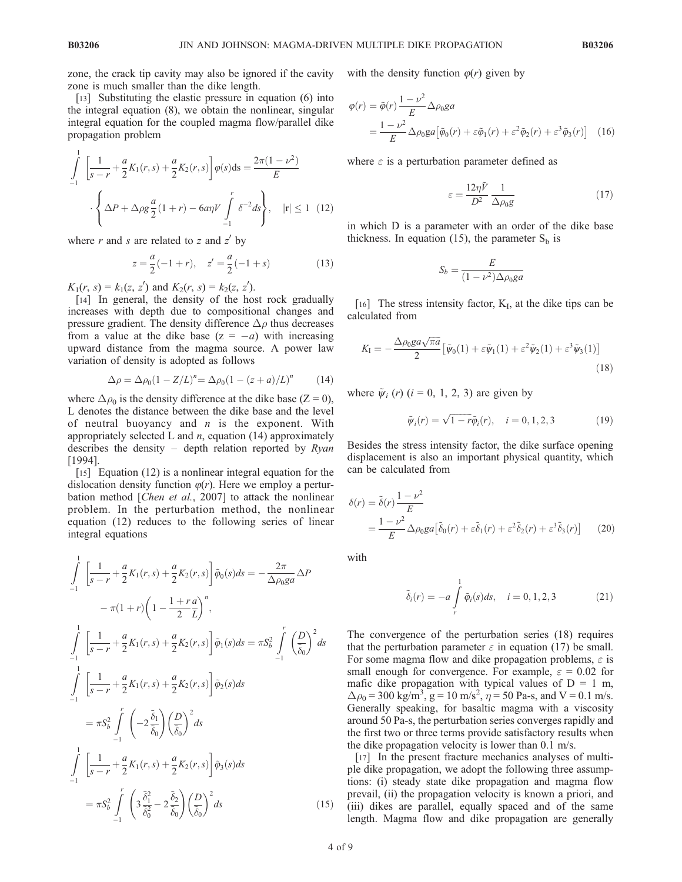zone, the crack tip cavity may also be ignored if the cavity zone is much smaller than the dike length.

[13] Substituting the elastic pressure in equation (6) into the integral equation (8), we obtain the nonlinear, singular integral equation for the coupled magma flow/parallel dike propagation problem

$$
\int_{-1}^{1} \left[ \frac{1}{s-r} + \frac{a}{2} K_1(r,s) + \frac{a}{2} K_2(r,s) \right] \varphi(s) ds = \frac{2\pi (1 - \nu^2)}{E}
$$

$$
\cdot \left\{ \Delta P + \Delta \rho g \frac{a}{2} (1+r) - 6a \eta V \int_{-1}^{r} \delta^{-2} ds \right\}, \quad |r| \le 1 \quad (12)
$$

where  $r$  and  $s$  are related to  $z$  and  $z'$  by

$$
z = \frac{a}{2}(-1+r), \quad z' = \frac{a}{2}(-1+s) \tag{13}
$$

 $K_1(r, s) = k_1(z, z')$  and  $K_2(r, s) = k_2(z, z').$ 

[14] In general, the density of the host rock gradually increases with depth due to compositional changes and pressure gradient. The density difference  $\Delta \rho$  thus decreases from a value at the dike base  $(z = -a)$  with increasing upward distance from the magma source. A power law variation of density is adopted as follows

$$
\Delta \rho = \Delta \rho_0 (1 - Z/L)^n = \Delta \rho_0 (1 - (z + a)/L)^n \tag{14}
$$

where  $\Delta \rho_0$  is the density difference at the dike base (Z = 0), L denotes the distance between the dike base and the level of neutral buoyancy and  $n$  is the exponent. With appropriately selected L and  $n$ , equation (14) approximately describes the density – depth relation reported by Ryan [1994].

[15] Equation (12) is a nonlinear integral equation for the dislocation density function  $\varphi(r)$ . Here we employ a perturbation method [*Chen et al.*, 2007] to attack the nonlinear problem. In the perturbation method, the nonlinear equation (12) reduces to the following series of linear integral equations

$$
\int_{-1}^{1} \left[ \frac{1}{s-r} + \frac{a}{2} K_1(r,s) + \frac{a}{2} K_2(r,s) \right] \tilde{\varphi}_0(s) ds = -\frac{2\pi}{\Delta \rho_0 g a} \Delta P \n- \pi (1+r) \left( 1 - \frac{1+r a}{2 L} \right)^n, \n\int_{-1}^{1} \left[ \frac{1}{s-r} + \frac{a}{2} K_1(r,s) + \frac{a}{2} K_2(r,s) \right] \tilde{\varphi}_1(s) ds = \pi S_b^2 \int_{-1}^{r} \left( \frac{D}{\tilde{\delta}_0} \right)^2 ds \n= \pi S_b^2 \int_{-1}^{r} \left( -2 \frac{\tilde{\delta}_1}{\tilde{\delta}_0} \right) \left( \frac{D}{\tilde{\delta}_0} \right)^2 ds \n\int_{-1}^{1} \left[ \frac{1}{s-r} + \frac{a}{2} K_1(r,s) + \frac{a}{2} K_2(r,s) \right] \tilde{\varphi}_2(s) ds \n\int_{-1}^{1} \left[ \frac{1}{s-r} + \frac{a}{2} K_1(r,s) + \frac{a}{2} K_2(r,s) \right] \tilde{\varphi}_3(s) ds \n= \pi S_b^2 \int_{-1}^{r} \left( 3 \frac{\tilde{\delta}_1^2}{\tilde{\delta}_0^2} - 2 \frac{\tilde{\delta}_2}{\tilde{\delta}_0} \right) \left( \frac{D}{\tilde{\delta}_0} \right)^2 ds
$$
\n(15)

with the density function  $\varphi(r)$  given by

$$
\varphi(r) = \tilde{\varphi}(r) \frac{1 - \nu^2}{E} \Delta \rho_0 g a
$$
  
= 
$$
\frac{1 - \nu^2}{E} \Delta \rho_0 g a \left[ \tilde{\varphi}_0(r) + \varepsilon \tilde{\varphi}_1(r) + \varepsilon^2 \tilde{\varphi}_2(r) + \varepsilon^3 \tilde{\varphi}_3(r) \right]
$$
 (16)

where  $\varepsilon$  is a perturbation parameter defined as

$$
\varepsilon = \frac{12\eta\tilde{V}}{D^2} \frac{1}{\Delta\rho_0 g} \tag{17}
$$

in which D is a parameter with an order of the dike base thickness. In equation (15), the parameter  $S_b$  is

$$
S_b = \frac{E}{(1 - \nu^2)\Delta \rho_0 g a}
$$

[16] The stress intensity factor,  $K_I$ , at the dike tips can be calculated from

$$
K_{\rm I} = -\frac{\Delta \rho_0 g a \sqrt{\pi a}}{2} \left[ \tilde{\psi}_0(1) + \varepsilon \tilde{\psi}_1(1) + \varepsilon^2 \tilde{\psi}_2(1) + \varepsilon^3 \tilde{\psi}_3(1) \right]
$$
(18)

where  $\tilde{\psi}_i$  (r) (i = 0, 1, 2, 3) are given by

$$
\tilde{\psi}_i(r) = \sqrt{1 - r\tilde{\varphi}_i(r)}, \quad i = 0, 1, 2, 3 \tag{19}
$$

Besides the stress intensity factor, the dike surface opening displacement is also an important physical quantity, which can be calculated from

$$
\delta(r) = \tilde{\delta}(r) \frac{1 - \nu^2}{E}
$$
  
= 
$$
\frac{1 - \nu^2}{E} \Delta \rho_0 g a \left[ \tilde{\delta}_0(r) + \varepsilon \tilde{\delta}_1(r) + \varepsilon^2 \tilde{\delta}_2(r) + \varepsilon^3 \tilde{\delta}_3(r) \right]
$$
 (20)

with

$$
\tilde{\delta}_i(r) = -a \int\limits_r^{1} \tilde{\varphi}_i(s) ds, \quad i = 0, 1, 2, 3 \tag{21}
$$

The convergence of the perturbation series (18) requires that the perturbation parameter  $\varepsilon$  in equation (17) be small. For some magma flow and dike propagation problems,  $\varepsilon$  is small enough for convergence. For example,  $\varepsilon = 0.02$  for mafic dike propagation with typical values of  $D = 1$  m,  $\Delta \rho_0 = 300 \text{ kg/m}^3$ , g = 10 m/s<sup>2</sup>,  $\eta = 50 \text{ Pa-s}$ , and V = 0.1 m/s. Generally speaking, for basaltic magma with a viscosity around 50 Pa-s, the perturbation series converges rapidly and the first two or three terms provide satisfactory results when the dike propagation velocity is lower than 0.1 m/s.

[17] In the present fracture mechanics analyses of multiple dike propagation, we adopt the following three assumptions: (i) steady state dike propagation and magma flow prevail, (ii) the propagation velocity is known a priori, and (iii) dikes are parallel, equally spaced and of the same length. Magma flow and dike propagation are generally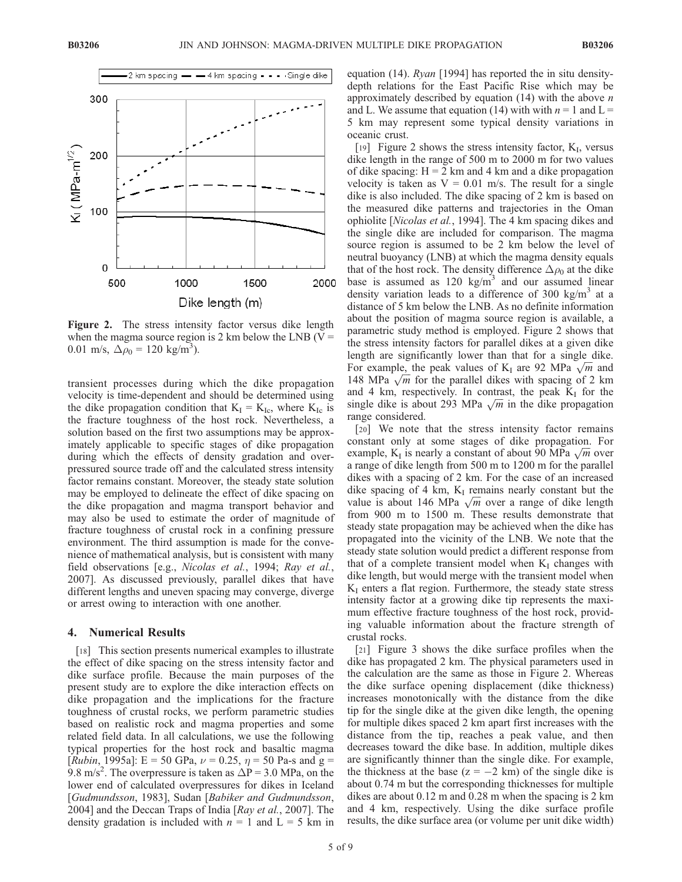

Figure 2. The stress intensity factor versus dike length when the magma source region is 2 km below the LNB ( $V =$ 0.01 m/s,  $\Delta \rho_0 = 120 \text{ kg/m}^3$ ).

transient processes during which the dike propagation velocity is time-dependent and should be determined using the dike propagation condition that  $K_I = K_{Ic}$ , where  $K_{Ic}$  is the fracture toughness of the host rock. Nevertheless, a solution based on the first two assumptions may be approximately applicable to specific stages of dike propagation during which the effects of density gradation and overpressured source trade off and the calculated stress intensity factor remains constant. Moreover, the steady state solution may be employed to delineate the effect of dike spacing on the dike propagation and magma transport behavior and may also be used to estimate the order of magnitude of fracture toughness of crustal rock in a confining pressure environment. The third assumption is made for the convenience of mathematical analysis, but is consistent with many field observations [e.g., Nicolas et al., 1994; Ray et al., 2007]. As discussed previously, parallel dikes that have different lengths and uneven spacing may converge, diverge or arrest owing to interaction with one another.

#### 4. Numerical Results

[18] This section presents numerical examples to illustrate the effect of dike spacing on the stress intensity factor and dike surface profile. Because the main purposes of the present study are to explore the dike interaction effects on dike propagation and the implications for the fracture toughness of crustal rocks, we perform parametric studies based on realistic rock and magma properties and some related field data. In all calculations, we use the following typical properties for the host rock and basaltic magma [Rubin, 1995a]:  $E = 50$  GPa,  $\nu = 0.25$ ,  $\eta = 50$  Pa-s and g = 9.8 m/s<sup>2</sup>. The overpressure is taken as  $\Delta P = 3.0$  MPa, on the lower end of calculated overpressures for dikes in Iceland [Gudmundsson, 1983], Sudan [Babiker and Gudmundsson, 2004] and the Deccan Traps of India [Ray et al., 2007]. The density gradation is included with  $n = 1$  and  $L = 5$  km in

equation (14). *Ryan* [1994] has reported the in situ densitydepth relations for the East Pacific Rise which may be approximately described by equation  $(14)$  with the above *n* and L. We assume that equation (14) with with  $n = 1$  and  $L =$ 5 km may represent some typical density variations in oceanic crust.

[19] Figure 2 shows the stress intensity factor,  $K_I$ , versus dike length in the range of 500 m to 2000 m for two values of dike spacing:  $H = 2$  km and 4 km and a dike propagation velocity is taken as  $V = 0.01$  m/s. The result for a single dike is also included. The dike spacing of 2 km is based on the measured dike patterns and trajectories in the Oman ophiolite [Nicolas et al., 1994]. The 4 km spacing dikes and the single dike are included for comparison. The magma source region is assumed to be 2 km below the level of neutral buoyancy (LNB) at which the magma density equals that of the host rock. The density difference  $\Delta \rho_0$  at the dike base is assumed as  $120 \text{ kg/m}^3$  and our assumed linear density variation leads to a difference of 300 kg/m<sup>3</sup> at a distance of 5 km below the LNB. As no definite information about the position of magma source region is available, a parametric study method is employed. Figure 2 shows that the stress intensity factors for parallel dikes at a given dike length are significantly lower than that for a single dike. For example, the peak values of  $K_I$  are 92 MPa  $\sqrt{m}$  and For example, the peak values of  $K_I$  are 92 MPa  $\sqrt{m}$  and 148 MPa  $\sqrt{m}$  for the parallel dikes with spacing of 2 km and 4 km, respectively. In contrast, the peak  $K_I$  for the and 4 km, respectively. In contrast, the peak  $K_I$  for the single dike is about 293 MPa  $\sqrt{m}$  in the dike propagation range considered.

[20] We note that the stress intensity factor remains constant only at some stages of dike propagation. For constant only at some stages of dike propagation. For example,  $K_I$  is nearly a constant of about 90 MPa  $\sqrt{m}$  over a range of dike length from 500 m to 1200 m for the parallel dikes with a spacing of 2 km. For the case of an increased dike spacing of 4 km,  $K_I$  remains nearly constant but the The spacing of 4 km,  $K_I$  remains nearly constant out the value is about 146 MPa  $\sqrt{m}$  over a range of dike length from 900 m to 1500 m. These results demonstrate that steady state propagation may be achieved when the dike has propagated into the vicinity of the LNB. We note that the steady state solution would predict a different response from that of a complete transient model when  $K_I$  changes with dike length, but would merge with the transient model when  $K_I$  enters a flat region. Furthermore, the steady state stress intensity factor at a growing dike tip represents the maximum effective fracture toughness of the host rock, providing valuable information about the fracture strength of crustal rocks.

[21] Figure 3 shows the dike surface profiles when the dike has propagated 2 km. The physical parameters used in the calculation are the same as those in Figure 2. Whereas the dike surface opening displacement (dike thickness) increases monotonically with the distance from the dike tip for the single dike at the given dike length, the opening for multiple dikes spaced 2 km apart first increases with the distance from the tip, reaches a peak value, and then decreases toward the dike base. In addition, multiple dikes are significantly thinner than the single dike. For example, the thickness at the base  $(z = -2 \text{ km})$  of the single dike is about 0.74 m but the corresponding thicknesses for multiple dikes are about 0.12 m and 0.28 m when the spacing is 2 km and 4 km, respectively. Using the dike surface profile results, the dike surface area (or volume per unit dike width)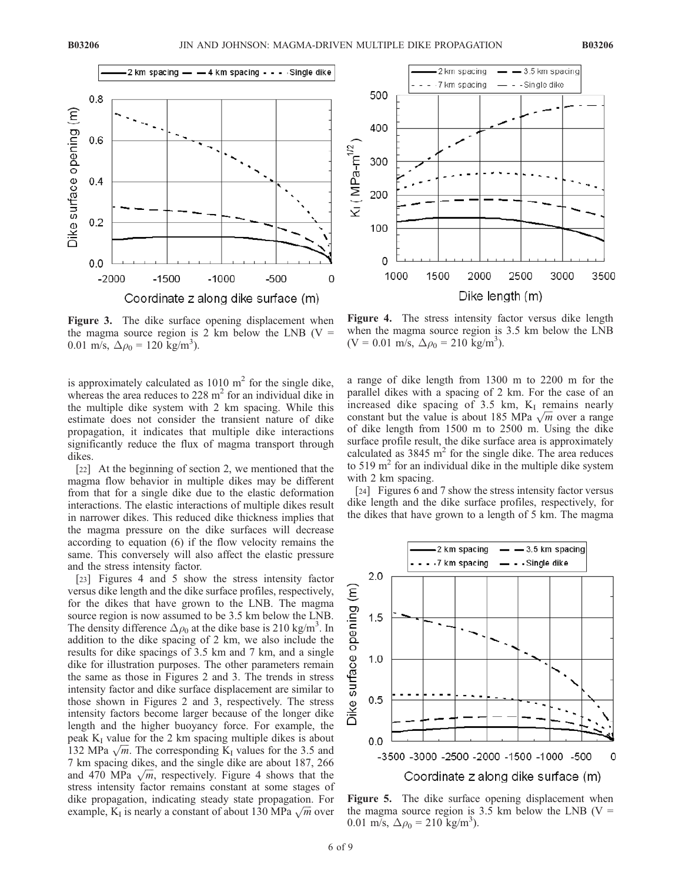

Figure 3. The dike surface opening displacement when the magma source region is 2 km below the LNB ( $V =$ 0.01 m/s,  $\Delta \rho_0 = 120 \text{ kg/m}^3$ ).

is approximately calculated as  $1010 \text{ m}^2$  for the single dike, whereas the area reduces to  $228 \text{ m}^2$  for an individual dike in the multiple dike system with 2 km spacing. While this estimate does not consider the transient nature of dike propagation, it indicates that multiple dike interactions significantly reduce the flux of magma transport through dikes.

[22] At the beginning of section 2, we mentioned that the magma flow behavior in multiple dikes may be different from that for a single dike due to the elastic deformation interactions. The elastic interactions of multiple dikes result in narrower dikes. This reduced dike thickness implies that the magma pressure on the dike surfaces will decrease according to equation (6) if the flow velocity remains the same. This conversely will also affect the elastic pressure and the stress intensity factor.

[23] Figures 4 and 5 show the stress intensity factor versus dike length and the dike surface profiles, respectively, for the dikes that have grown to the LNB. The magma source region is now assumed to be 3.5 km below the LNB. The density difference  $\Delta \rho_0$  at the dike base is 210 kg/m<sup>3</sup>. In addition to the dike spacing of 2 km, we also include the results for dike spacings of 3.5 km and 7 km, and a single dike for illustration purposes. The other parameters remain the same as those in Figures 2 and 3. The trends in stress intensity factor and dike surface displacement are similar to those shown in Figures 2 and 3, respectively. The stress intensity factors become larger because of the longer dike length and the higher buoyancy force. For example, the peak  $K_I$  value for the 2 km spacing multiple dikes is about peak  $K_I$  value for the 2 km spacing multiple dikes is about 132 MPa  $\sqrt{m}$ . The corresponding  $K_I$  values for the 3.5 and 7 km spacing dikes, and the single dike are about 187, 266  $\frac{m}{470}$  MPa  $\sqrt{m}$ , respectively. Figure 4 shows that the stress intensity factor remains constant at some stages of dike propagation, indicating steady state propagation. For dike propagation, indicating steady state propagation. For example,  $K_I$  is nearly a constant of about 130 MPa  $\sqrt{m}$  over



Figure 4. The stress intensity factor versus dike length when the magma source region is 3.5 km below the LNB  $(V = 0.01 \text{ m/s}, \Delta \rho_0 = 210 \text{ kg/m}^3).$ 

a range of dike length from 1300 m to 2200 m for the parallel dikes with a spacing of 2 km. For the case of an increased dike spacing of  $3.5$  km,  $K_I$  remains nearly increased dike spacing of 5.5 km,  $K_I$  remains nearly constant but the value is about 185 MPa  $\sqrt{m}$  over a range of dike length from 1500 m to 2500 m. Using the dike surface profile result, the dike surface area is approximately calculated as  $3845 \text{ m}^2$  for the single dike. The area reduces to 519  $\text{m}^2$  for an individual dike in the multiple dike system with 2 km spacing.

[24] Figures 6 and 7 show the stress intensity factor versus dike length and the dike surface profiles, respectively, for the dikes that have grown to a length of 5 km. The magma



Figure 5. The dike surface opening displacement when the magma source region is 3.5 km below the LNB ( $V =$ 0.01 m/s,  $\Delta \rho_0 = 210 \text{ kg/m}^3$ ).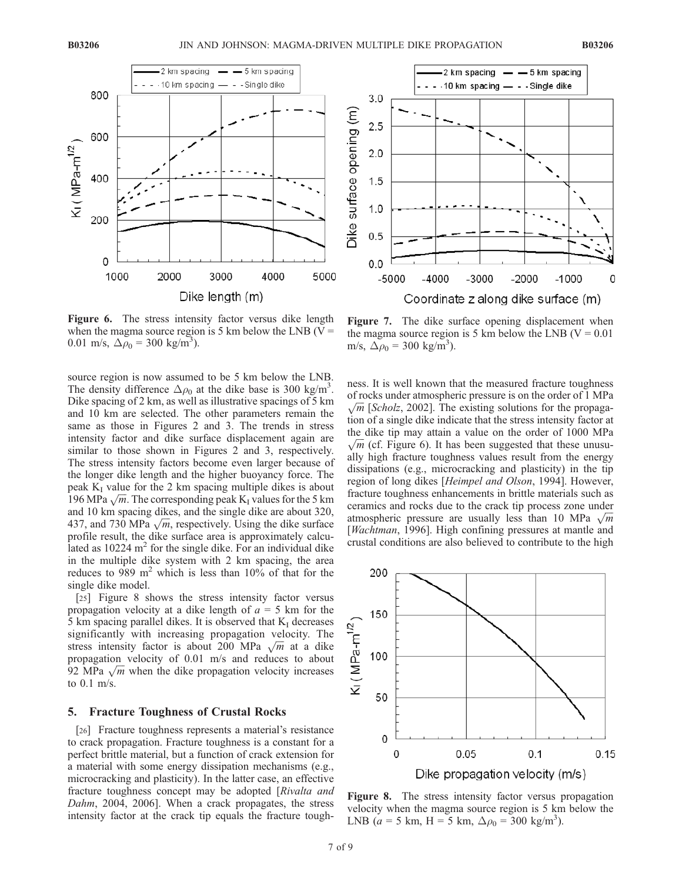

Figure 6. The stress intensity factor versus dike length when the magma source region is 5 km below the LNB ( $V =$ 0.01 m/s,  $\Delta \rho_0 = 300 \text{ kg/m}^3$ ).

source region is now assumed to be 5 km below the LNB. The density difference  $\Delta \rho_0$  at the dike base is 300 kg/m<sup>3</sup>. Dike spacing of 2 km, as well as illustrative spacings of 5 km and 10 km are selected. The other parameters remain the same as those in Figures 2 and 3. The trends in stress intensity factor and dike surface displacement again are similar to those shown in Figures 2 and 3, respectively. The stress intensity factors become even larger because of the longer dike length and the higher buoyancy force. The peak  $K_I$  value for the 2 km spacing multiple dikes is about peak  $K_I$  value for the 2 km spacing multiple dikes is about<br>196 MPa  $\sqrt{m}$ . The corresponding peak  $K_I$  values for the 5 km and 10 km spacing dikes, and the single dike are about 320, and TO Kin spacing dikes, and the single dike are about 520, 437, and 730 MPa  $\sqrt{m}$ , respectively. Using the dike surface profile result, the dike surface area is approximately calculated as  $10224 \text{ m}^2$  for the single dike. For an individual dike in the multiple dike system with 2 km spacing, the area reduces to 989  $m<sup>2</sup>$  which is less than 10% of that for the single dike model.

[25] Figure 8 shows the stress intensity factor versus propagation velocity at a dike length of  $a = 5$  km for the 5 km spacing parallel dikes. It is observed that  $K_I$  decreases significantly with increasing propagation velocity. The significantly with increasing propagation velocity. The stress intensity factor is about 200 MPa  $\sqrt{m}$  at a dike propagation velocity of 0.01 m/s and reduces to about propagation velocity of 0.01 m/s and reduces to about<br>92 MPa  $\sqrt{m}$  when the dike propagation velocity increases to 0.1 m/s.

#### 5. Fracture Toughness of Crustal Rocks

[26] Fracture toughness represents a material's resistance to crack propagation. Fracture toughness is a constant for a perfect brittle material, but a function of crack extension for a material with some energy dissipation mechanisms (e.g., microcracking and plasticity). In the latter case, an effective fracture toughness concept may be adopted [Rivalta and Dahm, 2004, 2006]. When a crack propagates, the stress intensity factor at the crack tip equals the fracture tough-



Figure 7. The dike surface opening displacement when the magma source region is 5 km below the LNB ( $V = 0.01$ ) m/s,  $\Delta \rho_0 = 300 \text{ kg/m}^3$ .

ness. It is well known that the measured fracture toughness of rocks under atmospheric pressure is on the order of 1 MPa  $\sqrt{m}$  [Scholz, 2002]. The existing solutions for the propagation of a single dike indicate that the stress intensity factor at the dike tip may attain a value on the order of 1000 MPa  $\sqrt{m}$  (cf. Figure 6). It has been suggested that these unusually high fracture toughness values result from the energy dissipations (e.g., microcracking and plasticity) in the tip region of long dikes [*Heimpel and Olson*, 1994]. However, fracture toughness enhancements in brittle materials such as ceramics and rocks due to the crack tip process zone under cerannes and rocks due to the crack up process zone under<br>atmospheric pressure are usually less than 10 MPa  $\sqrt{m}$ [*Wachtman*, 1996]. High confining pressures at mantle and crustal conditions are also believed to contribute to the high

![](_page_7_Figure_13.jpeg)

Figure 8. The stress intensity factor versus propagation velocity when the magma source region is 5 km below the LNB  $(a = 5 \text{ km}, \text{ H} = 5 \text{ km}, \Delta \rho_0 = 300 \text{ kg/m}^3)$ .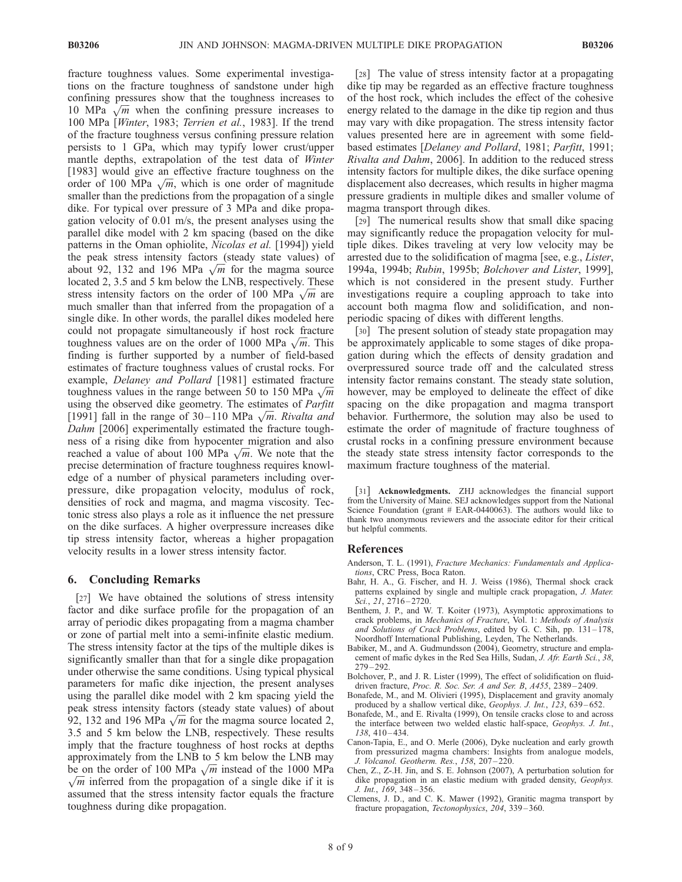fracture toughness values. Some experimental investigations on the fracture toughness of sandstone under high confining pressures show that the toughness increases to comming pressures show that the toughness increases to 10 MPa  $\sqrt{m}$  when the confining pressure increases to 100 MPa [Winter, 1983; Terrien et al., 1983]. If the trend of the fracture toughness versus confining pressure relation persists to 1 GPa, which may typify lower crust/upper mantle depths, extrapolation of the test data of Winter [1983] would give an effective fracture toughness on the [1985] would give an enective fracture toughness on the order of 100 MPa  $\sqrt{m}$ , which is one order of magnitude smaller than the predictions from the propagation of a single dike. For typical over pressure of 3 MPa and dike propagation velocity of 0.01 m/s, the present analyses using the parallel dike model with 2 km spacing (based on the dike patterns in the Oman ophiolite, Nicolas et al. [1994]) yield the peak stress intensity factors (steady state values) of the peak stress intensity factors (steady state values) of about 92, 132 and 196 MPa  $\sqrt{m}$  for the magma source located 2, 3.5 and 5 km below the LNB, respectively. These stress intensity factors on the order of 100 MPa  $\sqrt{m}$  are much smaller than that inferred from the propagation of a single dike. In other words, the parallel dikes modeled here could not propagate simultaneously if host rock fracture could not propagate simultaneously if nost rock fracture<br>toughness values are on the order of 1000 MPa  $\sqrt{m}$ . This finding is further supported by a number of field-based estimates of fracture toughness values of crustal rocks. For example, Delaney and Pollard [1981] estimated fracture Example, *Detaney and Pottara* [1981] estimated fracture toughness values in the range between 50 to 150 MPa  $\sqrt{m}$ using the observed dike geometry. The estimates of *Parfitt* using the observed dike geometry. The estimates of *Parjut* [1991] fall in the range of 30–110 MPa  $\sqrt{m}$ . Rivalta and Dahm [2006] experimentally estimated the fracture toughness of a rising dike from hypocenter migration and also reached a value of about 100 MPa  $\sqrt{m}$ . We note that the precise determination of fracture toughness requires knowledge of a number of physical parameters including overpressure, dike propagation velocity, modulus of rock, densities of rock and magma, and magma viscosity. Tectonic stress also plays a role as it influence the net pressure on the dike surfaces. A higher overpressure increases dike tip stress intensity factor, whereas a higher propagation velocity results in a lower stress intensity factor.

#### 6. Concluding Remarks

[27] We have obtained the solutions of stress intensity factor and dike surface profile for the propagation of an array of periodic dikes propagating from a magma chamber or zone of partial melt into a semi-infinite elastic medium. The stress intensity factor at the tips of the multiple dikes is significantly smaller than that for a single dike propagation under otherwise the same conditions. Using typical physical parameters for mafic dike injection, the present analyses using the parallel dike model with 2 km spacing yield the peak stress intensity factors (steady state values) of about peak stress intensity factors (steady state values) of about<br>92, 132 and 196 MPa  $\sqrt{m}$  for the magma source located 2, 3.5 and 5 km below the LNB, respectively. These results imply that the fracture toughness of host rocks at depths approximately from the LNB to 5 km below the LNB may approximately from the LNB to 5 km below the LNB may<br>be on the order of 100 MPa  $\sqrt{m}$  instead of the 1000 MPa<br> $\sqrt{m}$  inferred from the propagation of a single dike if it is  $\sqrt{m}$  inferred from the propagation of a single dike if it is assumed that the stress intensity factor equals the fracture toughness during dike propagation.

[28] The value of stress intensity factor at a propagating dike tip may be regarded as an effective fracture toughness of the host rock, which includes the effect of the cohesive energy related to the damage in the dike tip region and thus may vary with dike propagation. The stress intensity factor values presented here are in agreement with some fieldbased estimates [Delaney and Pollard, 1981; Parfitt, 1991; Rivalta and Dahm, 2006]. In addition to the reduced stress intensity factors for multiple dikes, the dike surface opening displacement also decreases, which results in higher magma pressure gradients in multiple dikes and smaller volume of magma transport through dikes.

[29] The numerical results show that small dike spacing may significantly reduce the propagation velocity for multiple dikes. Dikes traveling at very low velocity may be arrested due to the solidification of magma [see, e.g., Lister, 1994a, 1994b; Rubin, 1995b; Bolchover and Lister, 1999], which is not considered in the present study. Further investigations require a coupling approach to take into account both magma flow and solidification, and nonperiodic spacing of dikes with different lengths.

[30] The present solution of steady state propagation may be approximately applicable to some stages of dike propagation during which the effects of density gradation and overpressured source trade off and the calculated stress intensity factor remains constant. The steady state solution, however, may be employed to delineate the effect of dike spacing on the dike propagation and magma transport behavior. Furthermore, the solution may also be used to estimate the order of magnitude of fracture toughness of crustal rocks in a confining pressure environment because the steady state stress intensity factor corresponds to the maximum fracture toughness of the material.

[31] Acknowledgments. ZHJ acknowledges the financial support from the University of Maine. SEJ acknowledges support from the National Science Foundation (grant # EAR-0440063). The authors would like to thank two anonymous reviewers and the associate editor for their critical but helpful comments.

#### References

- Anderson, T. L. (1991), Fracture Mechanics: Fundamentals and Applications, CRC Press, Boca Raton.
- Bahr, H. A., G. Fischer, and H. J. Weiss (1986), Thermal shock crack patterns explained by single and multiple crack propagation, J. Mater. Sci., 21, 2716–2720.
- Benthem, J. P., and W. T. Koiter (1973), Asymptotic approximations to crack problems, in Mechanics of Fracture, Vol. 1: Methods of Analysis and Solutions of Crack Problems, edited by G. C. Sih, pp.  $131-178$ , Noordhoff International Publishing, Leyden, The Netherlands.
- Babiker, M., and A. Gudmundsson (2004), Geometry, structure and emplacement of mafic dykes in the Red Sea Hills, Sudan, J. Afr. Earth Sci., 38, 279 – 292.
- Bolchover, P., and J. R. Lister (1999), The effect of solidification on fluiddriven fracture, Proc. R. Soc. Ser. A and Ser. B, A455, 2389-2409.
- Bonafede, M., and M. Olivieri (1995), Displacement and gravity anomaly produced by a shallow vertical dike, Geophys. J. Int., 123, 639-652.
- Bonafede, M., and E. Rivalta (1999), On tensile cracks close to and across the interface between two welded elastic half-space, Geophys. J. Int., 138, 410 – 434.
- Canon-Tapia, E., and O. Merle (2006), Dyke nucleation and early growth from pressurized magma chambers: Insights from analogue models, J. Volcanol. Geotherm. Res., 158, 207 – 220.
- Chen, Z., Z-.H. Jin, and S. E. Johnson (2007), A perturbation solution for dike propagation in an elastic medium with graded density, *Geophys*. J. Int., 169, 348-356.
- Clemens, J. D., and C. K. Mawer (1992), Granitic magma transport by fracture propagation, Tectonophysics, 204, 339-360.